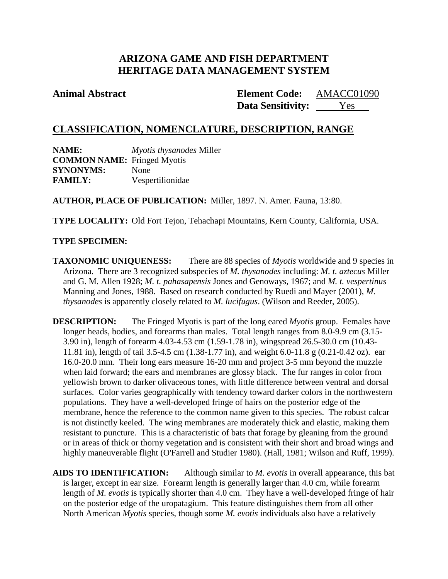# **ARIZONA GAME AND FISH DEPARTMENT HERITAGE DATA MANAGEMENT SYSTEM**

### **Animal Abstract Element Code:**

**Data Sensitivity:** Yes AMACC01090

## **CLASSIFICATION, NOMENCLATURE, DESCRIPTION, RANGE**

**NAME:** *Myotis thysanodes* Miller **COMMON NAME:** Fringed Myotis **SYNONYMS:** None **FAMILY:** Vespertilionidae

**AUTHOR, PLACE OF PUBLICATION:** Miller, 1897. N. Amer. Fauna, 13:80.

**TYPE LOCALITY:** Old Fort Tejon, Tehachapi Mountains, Kern County, California, USA.

### **TYPE SPECIMEN:**

**TAXONOMIC UNIQUENESS:** There are 88 species of *Myotis* worldwide and 9 species in Arizona. There are 3 recognized subspecies of *M. thysanodes* including: *M. t. aztecus* Miller and G. M. Allen 1928; *M. t. pahasapensis* Jones and Genoways, 1967; and *M. t. vespertinus* Manning and Jones, 1988. Based on research conducted by Ruedi and Mayer (2001), *M. thysanodes* is apparently closely related to *M. lucifugus*. (Wilson and Reeder, 2005).

**DESCRIPTION:** The Fringed Myotis is part of the long eared *Myotis* group. Females have longer heads, bodies, and forearms than males. Total length ranges from 8.0-9.9 cm (3.15- 3.90 in), length of forearm 4.03-4.53 cm (1.59-1.78 in), wingspread 26.5-30.0 cm (10.43- 11.81 in), length of tail 3.5-4.5 cm (1.38-1.77 in), and weight 6.0-11.8 g (0.21-0.42 oz). ear 16.0-20.0 mm. Their long ears measure 16-20 mm and project 3-5 mm beyond the muzzle when laid forward; the ears and membranes are glossy black. The fur ranges in color from yellowish brown to darker olivaceous tones, with little difference between ventral and dorsal surfaces. Color varies geographically with tendency toward darker colors in the northwestern populations. They have a well-developed fringe of hairs on the posterior edge of the membrane, hence the reference to the common name given to this species. The robust calcar is not distinctly keeled. The wing membranes are moderately thick and elastic, making them resistant to puncture. This is a characteristic of bats that forage by gleaning from the ground or in areas of thick or thorny vegetation and is consistent with their short and broad wings and highly maneuverable flight (O'Farrell and Studier 1980). (Hall, 1981; Wilson and Ruff, 1999).

**AIDS TO IDENTIFICATION:** Although similar to *M. evotis* in overall appearance, this bat is larger, except in ear size. Forearm length is generally larger than 4.0 cm, while forearm length of *M. evotis* is typically shorter than 4.0 cm. They have a well-developed fringe of hair on the posterior edge of the uropatagium. This feature distinguishes them from all other North American *Myotis* species, though some *M. evotis* individuals also have a relatively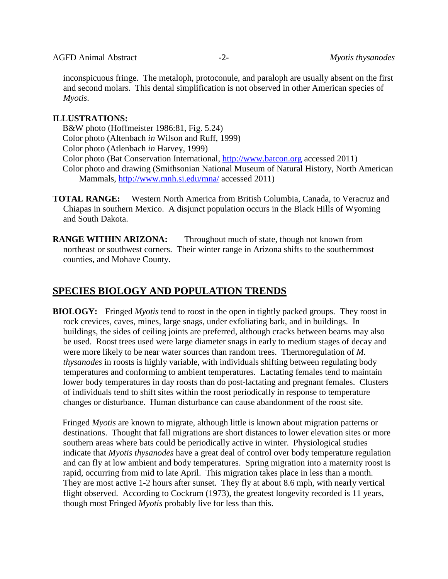inconspicuous fringe. The metaloph, protoconule, and paraloph are usually absent on the first and second molars. This dental simplification is not observed in other American species of *Myotis*.

### **ILLUSTRATIONS:**

B&W photo (Hoffmeister 1986:81, Fig. 5.24) Color photo (Altenbach *in* Wilson and Ruff, 1999) Color photo (Atlenbach *in* Harvey, 1999) Color photo (Bat Conservation International, [http://www.batcon.org](http://www.batcon.org/) accessed 2011) Color photo and drawing (Smithsonian National Museum of Natural History, North American Mammals,<http://www.mnh.si.edu/mna/> accessed 2011)

**TOTAL RANGE:** Western North America from British Columbia, Canada, to Veracruz and Chiapas in southern Mexico. A disjunct population occurs in the Black Hills of Wyoming and South Dakota.

**RANGE WITHIN ARIZONA:** Throughout much of state, though not known from northeast or southwest corners. Their winter range in Arizona shifts to the southernmost counties, and Mohave County.

# **SPECIES BIOLOGY AND POPULATION TRENDS**

**BIOLOGY:** Fringed *Myotis* tend to roost in the open in tightly packed groups. They roost in rock crevices, caves, mines, large snags, under exfoliating bark, and in buildings. In buildings, the sides of ceiling joints are preferred, although cracks between beams may also be used. Roost trees used were large diameter snags in early to medium stages of decay and were more likely to be near water sources than random trees. Thermoregulation of *M. thysanodes* in roosts is highly variable, with individuals shifting between regulating body temperatures and conforming to ambient temperatures. Lactating females tend to maintain lower body temperatures in day roosts than do post-lactating and pregnant females. Clusters of individuals tend to shift sites within the roost periodically in response to temperature changes or disturbance. Human disturbance can cause abandonment of the roost site.

Fringed *Myotis* are known to migrate, although little is known about migration patterns or destinations. Thought that fall migrations are short distances to lower elevation sites or more southern areas where bats could be periodically active in winter. Physiological studies indicate that *Myotis thysanodes* have a great deal of control over body temperature regulation and can fly at low ambient and body temperatures. Spring migration into a maternity roost is rapid, occurring from mid to late April. This migration takes place in less than a month. They are most active 1-2 hours after sunset. They fly at about 8.6 mph, with nearly vertical flight observed. According to Cockrum (1973), the greatest longevity recorded is 11 years, though most Fringed *Myotis* probably live for less than this.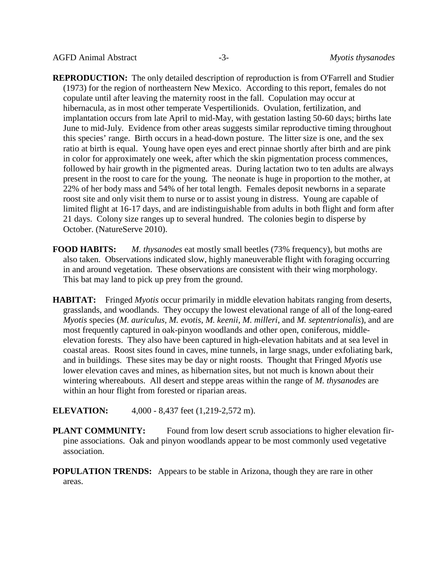- **REPRODUCTION:** The only detailed description of reproduction is from O'Farrell and Studier (1973) for the region of northeastern New Mexico. According to this report, females do not copulate until after leaving the maternity roost in the fall. Copulation may occur at hibernacula, as in most other temperate Vespertilionids. Ovulation, fertilization, and implantation occurs from late April to mid-May, with gestation lasting 50-60 days; births late June to mid-July. Evidence from other areas suggests similar reproductive timing throughout this species' range. Birth occurs in a head-down posture. The litter size is one, and the sex ratio at birth is equal. Young have open eyes and erect pinnae shortly after birth and are pink in color for approximately one week, after which the skin pigmentation process commences, followed by hair growth in the pigmented areas. During lactation two to ten adults are always present in the roost to care for the young. The neonate is huge in proportion to the mother, at 22% of her body mass and 54% of her total length. Females deposit newborns in a separate roost site and only visit them to nurse or to assist young in distress. Young are capable of limited flight at 16-17 days, and are indistinguishable from adults in both flight and form after 21 days. Colony size ranges up to several hundred. The colonies begin to disperse by October. (NatureServe 2010).
- **FOOD HABITS:** *M. thysanodes* eat mostly small beetles (73% frequency), but moths are also taken. Observations indicated slow, highly maneuverable flight with foraging occurring in and around vegetation. These observations are consistent with their wing morphology. This bat may land to pick up prey from the ground.
- **HABITAT:** Fringed *Myotis* occur primarily in middle elevation habitats ranging from deserts, grasslands, and woodlands. They occupy the lowest elevational range of all of the long-eared *Myotis* species (*M. auriculus, M. evotis*, *M. keenii*, *M. milleri*, and *M. septentrionalis*), and are most frequently captured in oak-pinyon woodlands and other open, coniferous, middleelevation forests. They also have been captured in high-elevation habitats and at sea level in coastal areas. Roost sites found in caves, mine tunnels, in large snags, under exfoliating bark, and in buildings. These sites may be day or night roosts. Thought that Fringed *Myotis* use lower elevation caves and mines, as hibernation sites, but not much is known about their wintering whereabouts. All desert and steppe areas within the range of *M. thysanodes* are within an hour flight from forested or riparian areas.
- **ELEVATION:** 4,000 8,437 feet (1,219-2,572 m).
- **PLANT COMMUNITY:** Found from low desert scrub associations to higher elevation firpine associations. Oak and pinyon woodlands appear to be most commonly used vegetative association.
- **POPULATION TRENDS:** Appears to be stable in Arizona, though they are rare in other areas.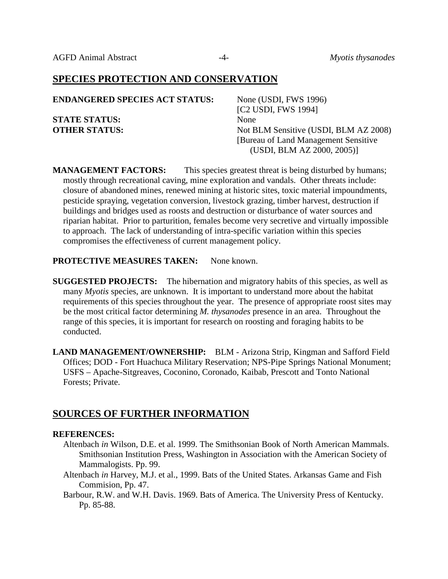## **SPECIES PROTECTION AND CONSERVATION**

| <b>ENDANGERED SPECIES ACT STATUS:</b> | None (USDI, FWS 1996)                 |
|---------------------------------------|---------------------------------------|
|                                       | [C <sub>2</sub> USDI, FWS 1994]       |
| <b>STATE STATUS:</b>                  | <b>None</b>                           |
| <b>OTHER STATUS:</b>                  | Not BLM Sensitive (USDI, BLM AZ 2008) |
|                                       | [Bureau of Land Management Sensitive] |
|                                       | (USDI, BLM AZ 2000, 2005)]            |

**MANAGEMENT FACTORS:** This species greatest threat is being disturbed by humans; mostly through recreational caving, mine exploration and vandals. Other threats include: closure of abandoned mines, renewed mining at historic sites, toxic material impoundments, pesticide spraying, vegetation conversion, livestock grazing, timber harvest, destruction if buildings and bridges used as roosts and destruction or disturbance of water sources and riparian habitat. Prior to parturition, females become very secretive and virtually impossible to approach. The lack of understanding of intra-specific variation within this species compromises the effectiveness of current management policy.

### **PROTECTIVE MEASURES TAKEN:** None known.

- **SUGGESTED PROJECTS:** The hibernation and migratory habits of this species, as well as many *Myotis* species, are unknown. It is important to understand more about the habitat requirements of this species throughout the year. The presence of appropriate roost sites may be the most critical factor determining *M. thysanodes* presence in an area. Throughout the range of this species, it is important for research on roosting and foraging habits to be conducted.
- **LAND MANAGEMENT/OWNERSHIP:** BLM Arizona Strip, Kingman and Safford Field Offices; DOD - Fort Huachuca Military Reservation; NPS-Pipe Springs National Monument; USFS – Apache-Sitgreaves, Coconino, Coronado, Kaibab, Prescott and Tonto National Forests; Private.

## **SOURCES OF FURTHER INFORMATION**

### **REFERENCES:**

- Altenbach *in* Wilson, D.E. et al. 1999. The Smithsonian Book of North American Mammals. Smithsonian Institution Press, Washington in Association with the American Society of Mammalogists. Pp. 99.
- Altenbach *in* Harvey, M.J. et al., 1999. Bats of the United States. Arkansas Game and Fish Commision, Pp. 47.
- Barbour, R.W. and W.H. Davis. 1969. Bats of America. The University Press of Kentucky. Pp. 85-88.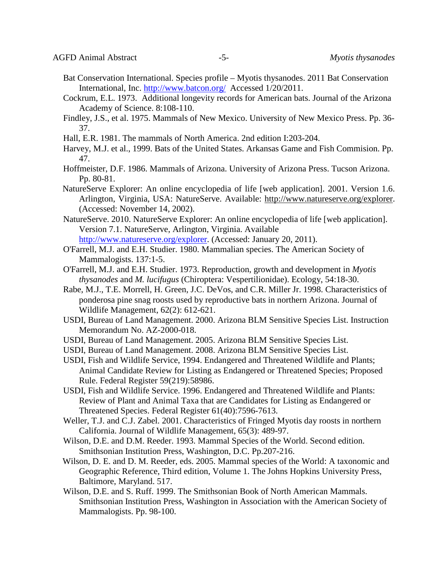- Bat Conservation International. Species profile Myotis thysanodes. 2011 Bat Conservation International, Inc.<http://www.batcon.org/>Accessed 1/20/2011.
- Cockrum, E.L. 1973. Additional longevity records for American bats. Journal of the Arizona Academy of Science. 8:108-110.
- Findley, J.S., et al. 1975. Mammals of New Mexico. University of New Mexico Press. Pp. 36- 37.
- Hall, E.R. 1981. The mammals of North America. 2nd edition I:203-204.
- Harvey, M.J. et al., 1999. Bats of the United States. Arkansas Game and Fish Commision. Pp. 47.
- Hoffmeister, D.F. 1986. Mammals of Arizona. University of Arizona Press. Tucson Arizona. Pp. 80-81.
- NatureServe Explorer: An online encyclopedia of life [web application]. 2001. Version 1.6. Arlington, Virginia, USA: NatureServe. Available: [http://www.natureserve.org/explorer.](http://www.natureserve.org/explorer) (Accessed: November 14, 2002).
- NatureServe. 2010. NatureServe Explorer: An online encyclopedia of life [web application]. Version 7.1. NatureServe, Arlington, Virginia. Available
- [http://www.natureserve.org/explorer.](http://www.natureserve.org/explorer) (Accessed: January 20, 2011).
- O'Farrell, M.J. and E.H. Studier. 1980. Mammalian species. The American Society of Mammalogists. 137:1-5.
- O'Farrell, M.J. and E.H. Studier. 1973. Reproduction, growth and development in *Myotis thysanodes* and *M. lucifugus* (Chiroptera: Vespertilionidae). Ecology, 54:18-30.
- Rabe, M.J., T.E. Morrell, H. Green, J.C. DeVos, and C.R. Miller Jr. 1998. Characteristics of ponderosa pine snag roosts used by reproductive bats in northern Arizona. Journal of Wildlife Management, 62(2): 612-621.
- USDI, Bureau of Land Management. 2000. Arizona BLM Sensitive Species List. Instruction Memorandum No. AZ-2000-018.
- USDI, Bureau of Land Management. 2005. Arizona BLM Sensitive Species List.
- USDI, Bureau of Land Management. 2008. Arizona BLM Sensitive Species List.
- USDI, Fish and Wildlife Service, 1994. Endangered and Threatened Wildlife and Plants; Animal Candidate Review for Listing as Endangered or Threatened Species; Proposed Rule. Federal Register 59(219):58986.
- USDI, Fish and Wildlife Service. 1996. Endangered and Threatened Wildlife and Plants: Review of Plant and Animal Taxa that are Candidates for Listing as Endangered or Threatened Species. Federal Register 61(40):7596-7613.
- Weller, T.J. and C.J. Zabel. 2001. Characteristics of Fringed Myotis day roosts in northern California. Journal of Wildlife Management, 65(3): 489-97.
- Wilson, D.E. and D.M. Reeder. 1993. Mammal Species of the World. Second edition. Smithsonian Institution Press, Washington, D.C. Pp.207-216.
- Wilson, D. E. and D. M. Reeder, eds. 2005. Mammal species of the World: A taxonomic and Geographic Reference, Third edition, Volume 1. The Johns Hopkins University Press, Baltimore, Maryland. 517.
- Wilson, D.E. and S. Ruff. 1999. The Smithsonian Book of North American Mammals. Smithsonian Institution Press, Washington in Association with the American Society of Mammalogists. Pp. 98-100.